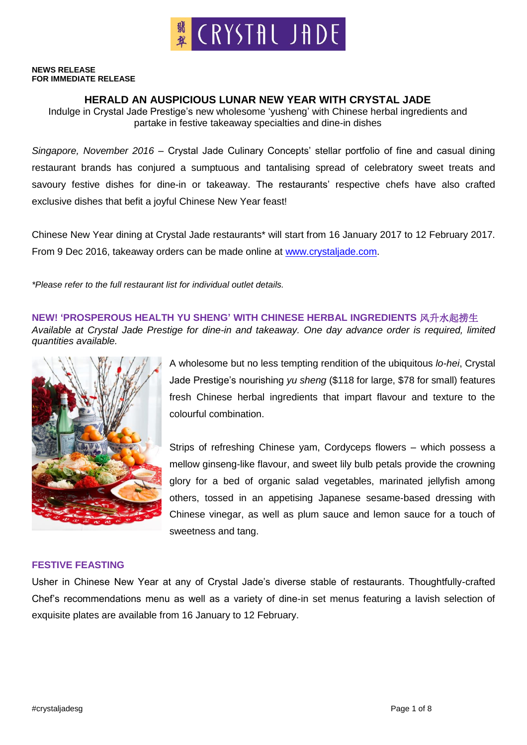#### **NEWS RELEASE FOR IMMEDIATE RELEASE**

## **HERALD AN AUSPICIOUS LUNAR NEW YEAR WITH CRYSTAL JADE**

Indulge in Crystal Jade Prestige's new wholesome 'yusheng' with Chinese herbal ingredients and partake in festive takeaway specialties and dine-in dishes

*Singapore, November 2016* – Crystal Jade Culinary Concepts' stellar portfolio of fine and casual dining restaurant brands has conjured a sumptuous and tantalising spread of celebratory sweet treats and savoury festive dishes for dine-in or takeaway. The restaurants' respective chefs have also crafted exclusive dishes that befit a joyful Chinese New Year feast!

Chinese New Year dining at Crystal Jade restaurants\* will start from 16 January 2017 to 12 February 2017. From 9 Dec 2016, takeaway orders can be made online at [www.crystaljade.com.](http://www.crystaljade.com/)

*\*Please refer to the full restaurant list for individual outlet details.*

**NEW! 'PROSPEROUS HEALTH YU SHENG' WITH CHINESE HERBAL INGREDIENTS** 风升水起捞生

*Available at Crystal Jade Prestige for dine-in and takeaway. One day advance order is required, limited quantities available.*



A wholesome but no less tempting rendition of the ubiquitous *lo-hei*, Crystal Jade Prestige's nourishing *yu sheng* (\$118 for large, \$78 for small) features fresh Chinese herbal ingredients that impart flavour and texture to the colourful combination.

Strips of refreshing Chinese yam, Cordyceps flowers – which possess a mellow ginseng-like flavour, and sweet lily bulb petals provide the crowning glory for a bed of organic salad vegetables, marinated jellyfish among others, tossed in an appetising Japanese sesame-based dressing with Chinese vinegar, as well as plum sauce and lemon sauce for a touch of sweetness and tang.

## **FESTIVE FEASTING**

Usher in Chinese New Year at any of Crystal Jade's diverse stable of restaurants. Thoughtfully-crafted Chef's recommendations menu as well as a variety of dine-in set menus featuring a lavish selection of exquisite plates are available from 16 January to 12 February.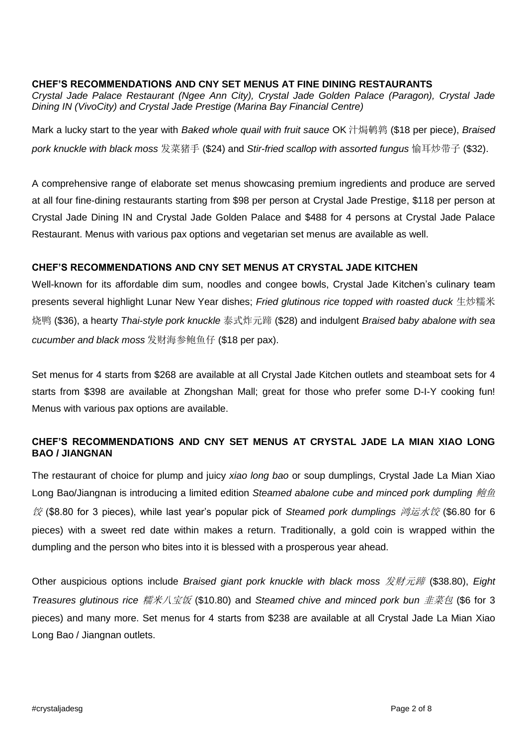## **CHEF'S RECOMMENDATIONS AND CNY SET MENUS AT FINE DINING RESTAURANTS**

*Crystal Jade Palace Restaurant (Ngee Ann City), Crystal Jade Golden Palace (Paragon), Crystal Jade Dining IN (VivoCity) and Crystal Jade Prestige (Marina Bay Financial Centre)*

Mark a lucky start to the year with *Baked whole quail with fruit sauce* OK 汁焗鹌鹑 (\$18 per piece), *Braised pork knuckle with black moss* 发菜猪手 (\$24) and *Stir-fried scallop with assorted fungus* 愉耳炒带子 (\$32).

A comprehensive range of elaborate set menus showcasing premium ingredients and produce are served at all four fine-dining restaurants starting from \$98 per person at Crystal Jade Prestige, \$118 per person at Crystal Jade Dining IN and Crystal Jade Golden Palace and \$488 for 4 persons at Crystal Jade Palace Restaurant. Menus with various pax options and vegetarian set menus are available as well.

## **CHEF'S RECOMMENDATIONS AND CNY SET MENUS AT CRYSTAL JADE KITCHEN**

Well-known for its affordable dim sum, noodles and congee bowls, Crystal Jade Kitchen's culinary team presents several highlight Lunar New Year dishes; *Fried glutinous rice topped with roasted duck* 生炒糯米 烧鸭 (\$36), a hearty *Thai-style pork knuckle* 泰式炸元蹄 (\$28) and indulgent *Braised baby abalone with sea cucumber and black moss* 发财海参鲍鱼仔 (\$18 per pax).

Set menus for 4 starts from \$268 are available at all Crystal Jade Kitchen outlets and steamboat sets for 4 starts from \$398 are available at Zhongshan Mall; great for those who prefer some D-I-Y cooking fun! Menus with various pax options are available.

## **CHEF'S RECOMMENDATIONS AND CNY SET MENUS AT CRYSTAL JADE LA MIAN XIAO LONG BAO / JIANGNAN**

The restaurant of choice for plump and juicy *xiao long bao* or soup dumplings, Crystal Jade La Mian Xiao Long Bao/Jiangnan is introducing a limited edition *Steamed abalone cube and minced pork dumpling 鲍鱼* 饺 (\$8.80 for 3 pieces), while last year's popular pick of *Steamed pork dumplings* 鸿运水饺 (\$6.80 for 6 pieces) with a sweet red date within makes a return. Traditionally, a gold coin is wrapped within the dumpling and the person who bites into it is blessed with a prosperous year ahead.

Other auspicious options include *Braised giant pork knuckle with black moss* 发财元蹄 (\$38.80), *Eight Treasures glutinous rice* 糯米八宝饭 (\$10.80) and *Steamed chive and minced pork bun* 韭菜包 (\$6 for 3 pieces) and many more. Set menus for 4 starts from \$238 are available at all Crystal Jade La Mian Xiao Long Bao / Jiangnan outlets.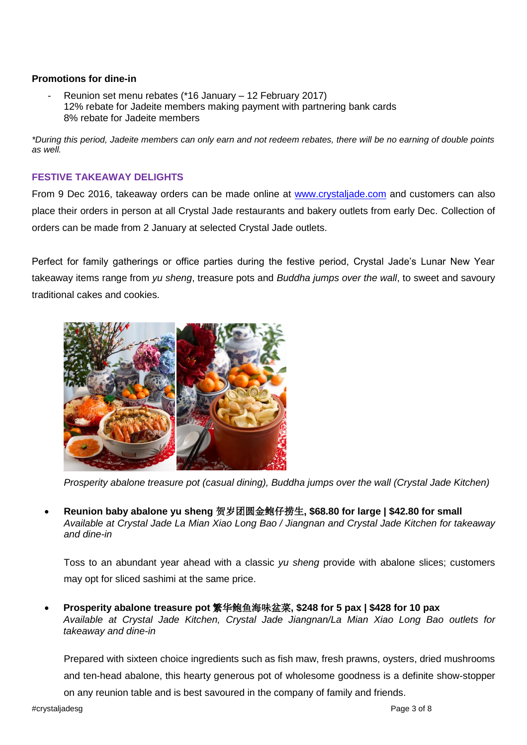### **Promotions for dine-in**

Reunion set menu rebates (\*16 January – 12 February 2017) 12% rebate for Jadeite members making payment with partnering bank cards 8% rebate for Jadeite members

*\*During this period, Jadeite members can only earn and not redeem rebates, there will be no earning of double points as well.* 

## **FESTIVE TAKEAWAY DELIGHTS**

From 9 Dec 2016, takeaway orders can be made online at [www.crystaljade.com](http://www.crystaljade.com/) and customers can also place their orders in person at all Crystal Jade restaurants and bakery outlets from early Dec. Collection of orders can be made from 2 January at selected Crystal Jade outlets.

Perfect for family gatherings or office parties during the festive period, Crystal Jade's Lunar New Year takeaway items range from *yu sheng*, treasure pots and *Buddha jumps over the wall*, to sweet and savoury traditional cakes and cookies.



*Prosperity abalone treasure pot (casual dining), Buddha jumps over the wall (Crystal Jade Kitchen)*

 **Reunion baby abalone yu sheng** 贺岁团圆金鲍仔捞生**, \$68.80 for large | \$42.80 for small**  *Available at Crystal Jade La Mian Xiao Long Bao / Jiangnan and Crystal Jade Kitchen for takeaway and dine-in*

Toss to an abundant year ahead with a classic *yu sheng* provide with abalone slices; customers may opt for sliced sashimi at the same price.

 **Prosperity abalone treasure pot** 繁华鲍鱼海味盆菜**, \$248 for 5 pax | \$428 for 10 pax** *Available at Crystal Jade Kitchen, Crystal Jade Jiangnan/La Mian Xiao Long Bao outlets for takeaway and dine-in*

Prepared with sixteen choice ingredients such as fish maw, fresh prawns, oysters, dried mushrooms and ten-head abalone, this hearty generous pot of wholesome goodness is a definite show-stopper on any reunion table and is best savoured in the company of family and friends.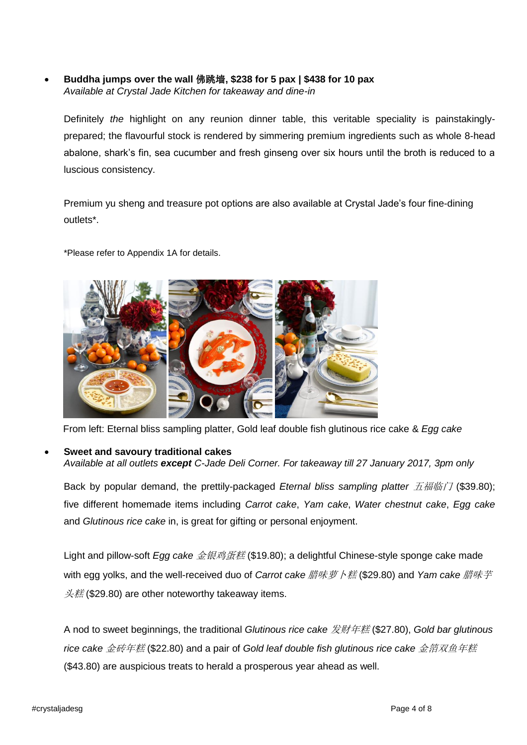**Buddha jumps over the wall** 佛跳墙**, \$238 for 5 pax | \$438 for 10 pax**  *Available at Crystal Jade Kitchen for takeaway and dine-in*

Definitely *the* highlight on any reunion dinner table, this veritable speciality is painstakinglyprepared; the flavourful stock is rendered by simmering premium ingredients such as whole 8-head abalone, shark's fin, sea cucumber and fresh ginseng over six hours until the broth is reduced to a luscious consistency.

Premium yu sheng and treasure pot options are also available at Crystal Jade's four fine-dining outlets\*.

\*Please refer to Appendix 1A for details.



From left: Eternal bliss sampling platter, Gold leaf double fish glutinous rice cake & *Egg cake*

#### **Sweet and savoury traditional cakes**

*Available at all outlets except C-Jade Deli Corner. For takeaway till 27 January 2017, 3pm only*

Back by popular demand, the prettily-packaged *Eternal bliss sampling platter 五福临门* (\$39.80); five different homemade items including *Carrot cake*, *Yam cake*, *Water chestnut cake*, *Egg cake* and *Glutinous rice cake* in, is great for gifting or personal enjoyment.

Light and pillow-soft *Egg cake* 金银鸡蛋糕 (\$19.80); a delightful Chinese-style sponge cake made with egg yolks, and the well-received duo of *Carrot cake 腊味萝卜糕* (\$29.80) and *Yam cake 腊味芋*  $\frac{\mathcal{H}}{\mathcal{H}}$  (\$29.80) are other noteworthy takeaway items.

A nod to sweet beginnings, the traditional *Glutinous rice cake* 发财年糕 (\$27.80), *Gold bar glutinous rice cake* 金砖年糕 (\$22.80) and a pair of *Gold leaf double fish glutinous rice cake* 金箔双鱼年糕 (\$43.80) are auspicious treats to herald a prosperous year ahead as well.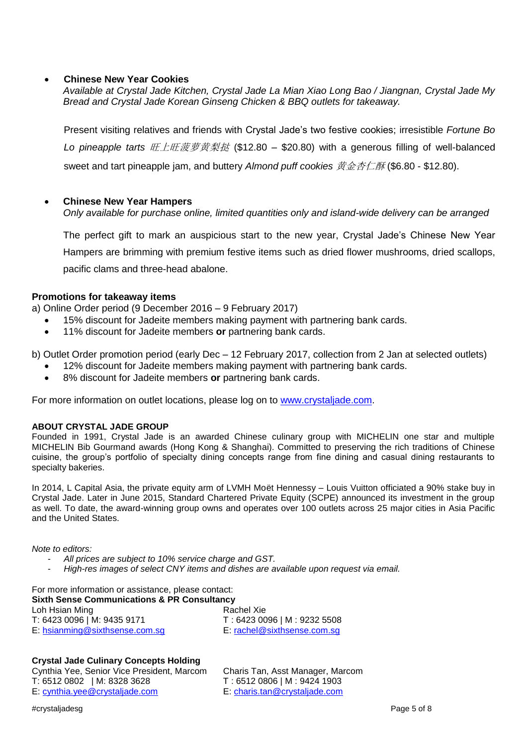### **Chinese New Year Cookies**

*Available at Crystal Jade Kitchen, Crystal Jade La Mian Xiao Long Bao / Jiangnan, Crystal Jade My Bread and Crystal Jade Korean Ginseng Chicken & BBQ outlets for takeaway.*

Present visiting relatives and friends with Crystal Jade's two festive cookies; irresistible *Fortune Bo*  Lo pineapple tarts **旺上旺菠萝黄梨挞 (\$12.80 – \$20.80)** with a generous filling of well-balanced sweet and tart pineapple jam, and buttery *Almond puff cookies* 黄金杏仁酥 (\$6.80 - \$12.80).

#### **Chinese New Year Hampers**

*Only available for purchase online, limited quantities only and island-wide delivery can be arranged*

The perfect gift to mark an auspicious start to the new year, Crystal Jade's Chinese New Year Hampers are brimming with premium festive items such as dried flower mushrooms, dried scallops, pacific clams and three-head abalone.

### **Promotions for takeaway items**

a) Online Order period (9 December 2016 – 9 February 2017)

- 15% discount for Jadeite members making payment with partnering bank cards.
- 11% discount for Jadeite members **or** partnering bank cards.

b) Outlet Order promotion period (early Dec – 12 February 2017, collection from 2 Jan at selected outlets)

- 12% discount for Jadeite members making payment with partnering bank cards.
- 8% discount for Jadeite members **or** partnering bank cards.

For more information on outlet locations, please log on to [www.crystaljade.com.](http://www.crystaljade.com/)

#### **ABOUT CRYSTAL JADE GROUP**

Founded in 1991, Crystal Jade is an awarded Chinese culinary group with MICHELIN one star and multiple MICHELIN Bib Gourmand awards (Hong Kong & Shanghai). Committed to preserving the rich traditions of Chinese cuisine, the group's portfolio of specialty dining concepts range from fine dining and casual dining restaurants to specialty bakeries.

In 2014, L Capital Asia, the private equity arm of LVMH Moët Hennessy – Louis Vuitton officiated a 90% stake buy in Crystal Jade. Later in June 2015, Standard Chartered Private Equity (SCPE) announced its investment in the group as well. To date, the award-winning group owns and operates over 100 outlets across 25 major cities in Asia Pacific and the United States.

*Note to editors:* 

- *All prices are subject to 10% service charge and GST.*
- *High-res images of select CNY items and dishes are available upon request via email.*

For more information or assistance, please contact: **Sixth Sense Communications & PR Consultancy** Loh Hsian Ming **Rachel Xie** Rachel Xie T: 6423 0096 | M: 9435 9171 T : 6423 0096 | M : 9232 5508 E: [hsianming@sixthsense.com.sg](mailto:hsianming@sixthsense.com.sg) E: [rachel@sixthsense.com.sg](mailto:rachel@sixthsense.com.sg)

#### **Crystal Jade Culinary Concepts Holding**

Cynthia Yee, Senior Vice President, Marcom Charis Tan, Asst Manager, Marcom T: 6512 0802 | M: 8328 3628 T : 6512 0806 | M : 9424 1903<br>E: cynthia.yee@crystaljade.com E: charis.tan@crystaljade.com E: [cynthia.yee@crystaljade.com](mailto:cynthia.yee@crystaljade.com)

#crystaljadesg Page 5 of 8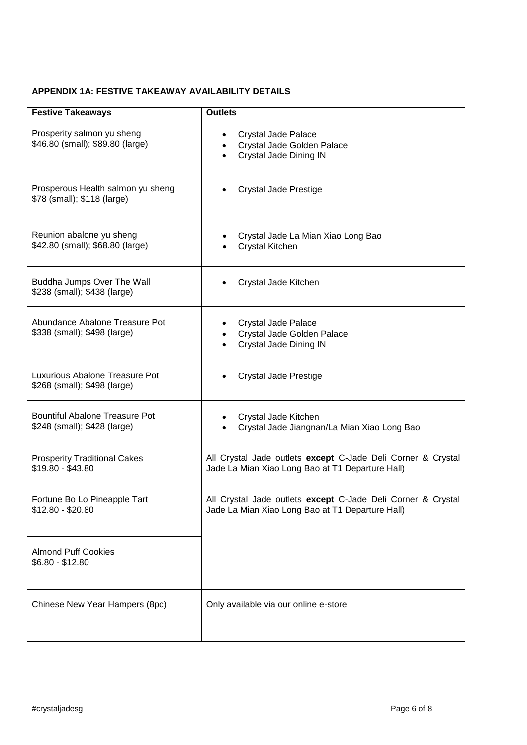## **APPENDIX 1A: FESTIVE TAKEAWAY AVAILABILITY DETAILS**

| <b>Festive Takeaways</b>                                              | <b>Outlets</b>                                                                                                   |
|-----------------------------------------------------------------------|------------------------------------------------------------------------------------------------------------------|
| Prosperity salmon yu sheng<br>\$46.80 (small); \$89.80 (large)        | Crystal Jade Palace<br>Crystal Jade Golden Palace<br>Crystal Jade Dining IN                                      |
| Prosperous Health salmon yu sheng<br>\$78 (small); \$118 (large)      | Crystal Jade Prestige                                                                                            |
| Reunion abalone yu sheng<br>\$42.80 (small); \$68.80 (large)          | Crystal Jade La Mian Xiao Long Bao<br>Crystal Kitchen                                                            |
| Buddha Jumps Over The Wall<br>\$238 (small); \$438 (large)            | Crystal Jade Kitchen                                                                                             |
| Abundance Abalone Treasure Pot<br>\$338 (small); \$498 (large)        | Crystal Jade Palace<br>Crystal Jade Golden Palace<br>Crystal Jade Dining IN                                      |
| Luxurious Abalone Treasure Pot<br>\$268 (small); \$498 (large)        | <b>Crystal Jade Prestige</b>                                                                                     |
| <b>Bountiful Abalone Treasure Pot</b><br>\$248 (small); \$428 (large) | Crystal Jade Kitchen<br>Crystal Jade Jiangnan/La Mian Xiao Long Bao                                              |
| <b>Prosperity Traditional Cakes</b><br>\$19.80 - \$43.80              | All Crystal Jade outlets except C-Jade Deli Corner & Crystal<br>Jade La Mian Xiao Long Bao at T1 Departure Hall) |
| Fortune Bo Lo Pineapple Tart<br>$$12.80 - $20.80$                     | All Crystal Jade outlets except C-Jade Deli Corner & Crystal<br>Jade La Mian Xiao Long Bao at T1 Departure Hall) |
| <b>Almond Puff Cookies</b><br>$$6.80 - $12.80$                        |                                                                                                                  |
| Chinese New Year Hampers (8pc)                                        | Only available via our online e-store                                                                            |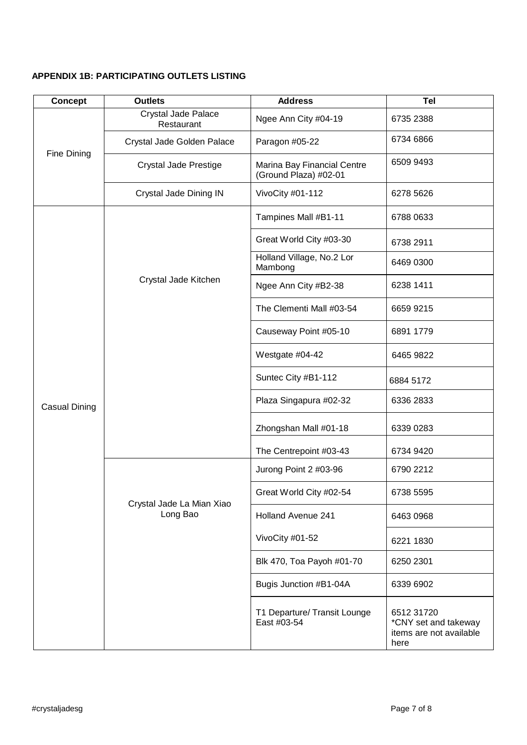# **APPENDIX 1B: PARTICIPATING OUTLETS LISTING**

| <b>Concept</b> | <b>Outlets</b>                        | <b>Address</b>                                       | <b>Tel</b>                                                            |
|----------------|---------------------------------------|------------------------------------------------------|-----------------------------------------------------------------------|
| Fine Dining    | Crystal Jade Palace<br>Restaurant     | Ngee Ann City #04-19                                 | 6735 2388                                                             |
|                | Crystal Jade Golden Palace            | Paragon #05-22                                       | 6734 6866                                                             |
|                | <b>Crystal Jade Prestige</b>          | Marina Bay Financial Centre<br>(Ground Plaza) #02-01 | 6509 9493                                                             |
|                | Crystal Jade Dining IN                | VivoCity #01-112                                     | 6278 5626                                                             |
| Casual Dining  | Crystal Jade Kitchen                  | Tampines Mall #B1-11                                 | 6788 0633                                                             |
|                |                                       | Great World City #03-30                              | 6738 2911                                                             |
|                |                                       | Holland Village, No.2 Lor<br>Mambong                 | 6469 0300                                                             |
|                |                                       | Ngee Ann City #B2-38                                 | 6238 1411                                                             |
|                |                                       | The Clementi Mall #03-54                             | 6659 9215                                                             |
|                |                                       | Causeway Point #05-10                                | 6891 1779                                                             |
|                |                                       | Westgate #04-42                                      | 6465 9822                                                             |
|                |                                       | Suntec City #B1-112                                  | 6884 5172                                                             |
|                |                                       | Plaza Singapura #02-32                               | 6336 2833                                                             |
|                |                                       | Zhongshan Mall #01-18                                | 6339 0283                                                             |
|                |                                       | The Centrepoint #03-43                               | 6734 9420                                                             |
|                |                                       | Jurong Point 2 #03-96                                | 6790 2212                                                             |
|                | Crystal Jade La Mian Xiao<br>Long Bao | Great World City #02-54                              | 6738 5595                                                             |
|                |                                       | <b>Holland Avenue 241</b>                            | 6463 0968                                                             |
|                |                                       | VivoCity #01-52                                      | 6221 1830                                                             |
|                |                                       | Blk 470, Toa Payoh #01-70                            | 6250 2301                                                             |
|                |                                       | Bugis Junction #B1-04A                               | 6339 6902                                                             |
|                |                                       | T1 Departure/ Transit Lounge<br>East #03-54          | 6512 31720<br>*CNY set and takeway<br>items are not available<br>here |